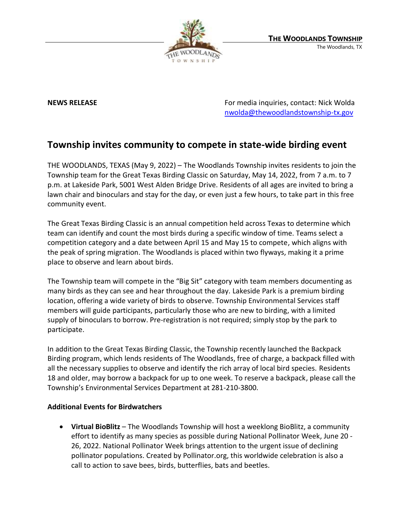

**NEWS RELEASE EXECUTE: RELEASE EXECUTE: For media inquiries, contact: Nick Wolda** [nwolda@thewoodlandstownship-tx.gov](mailto:nwolda@thewoodlandstownship-tx.gov)

## **Township invites community to compete in state-wide birding event**

THE WOODLANDS, TEXAS (May 9, 2022) – The Woodlands Township invites residents to join the Township team for the Great Texas Birding Classic on Saturday, May 14, 2022, from 7 a.m. to 7 p.m. at Lakeside Park, 5001 West Alden Bridge Drive. Residents of all ages are invited to bring a lawn chair and binoculars and stay for the day, or even just a few hours, to take part in this free community event.

The Great Texas Birding Classic is an annual competition held across Texas to determine which team can identify and count the most birds during a specific window of time. Teams select a competition category and a date between April 15 and May 15 to compete, which aligns with the peak of spring migration. The Woodlands is placed within two flyways, making it a prime place to observe and learn about birds.

The Township team will compete in the "Big Sit" category with team members documenting as many birds as they can see and hear throughout the day. Lakeside Park is a premium birding location, offering a wide variety of birds to observe. Township Environmental Services staff members will guide participants, particularly those who are new to birding, with a limited supply of binoculars to borrow. Pre-registration is not required; simply stop by the park to participate.

In addition to the Great Texas Birding Classic, the Township recently launched the Backpack Birding program, which lends residents of The Woodlands, free of charge, a backpack filled with all the necessary supplies to observe and identify the rich array of local bird species. Residents 18 and older, may borrow a backpack for up to one week. To reserve a backpack, please call the Township's Environmental Services Department at 281-210-3800.

## **Additional Events for Birdwatchers**

• **Virtual BioBlitz** – The Woodlands Township will host a weeklong BioBlitz, a community effort to identify as many species as possible during National Pollinator Week, June 20 - 26, 2022. National Pollinator Week brings attention to the urgent issue of declining pollinator populations. Created by Pollinator.org, this worldwide celebration is also a call to action to save bees, birds, butterflies, bats and beetles.